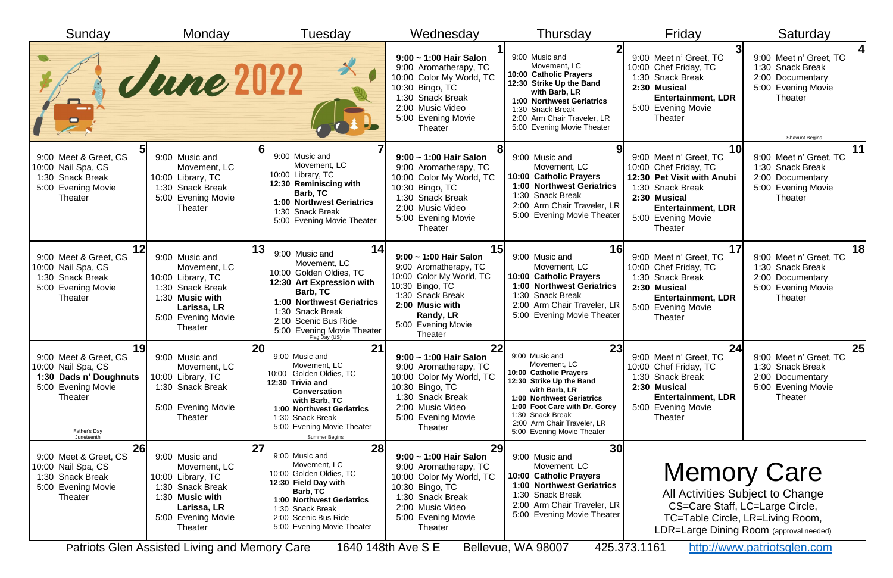| Sunday                                                                                                                                            | Monday                                                                                                                                                                                                   | Tuesday                                                                                                                                                                                                                                   | Wednesday                                                                                                                                                                                                       | Thursday                                                                                                                                                                                                                                                   | Friday                                                                                                                                                                                | Saturday                                                                                                                                                             |
|---------------------------------------------------------------------------------------------------------------------------------------------------|----------------------------------------------------------------------------------------------------------------------------------------------------------------------------------------------------------|-------------------------------------------------------------------------------------------------------------------------------------------------------------------------------------------------------------------------------------------|-----------------------------------------------------------------------------------------------------------------------------------------------------------------------------------------------------------------|------------------------------------------------------------------------------------------------------------------------------------------------------------------------------------------------------------------------------------------------------------|---------------------------------------------------------------------------------------------------------------------------------------------------------------------------------------|----------------------------------------------------------------------------------------------------------------------------------------------------------------------|
| $\mathbf{P}$                                                                                                                                      | June 2022                                                                                                                                                                                                |                                                                                                                                                                                                                                           | $9:00 - 1:00$ Hair Salon<br>9:00 Aromatherapy, TC<br>10:00 Color My World, TC<br>10:30 Bingo, TC<br>1:30 Snack Break<br>2:00 Music Video<br>5:00 Evening Movie<br><b>Theater</b>                                | 9:00 Music and<br>Movement, LC<br>10:00 Catholic Prayers<br>12:30 Strike Up the Band<br>with Barb, LR<br>1:00 Northwest Geriatrics<br>1:30 Snack Break<br>2:00 Arm Chair Traveler, LR<br>5:00 Evening Movie Theater                                        | 9:00 Meet n' Greet, TC<br>10:00 Chef Friday, TC<br>1:30 Snack Break<br>2:30 Musical<br><b>Entertainment, LDR</b><br>5:00 Evening Movie<br><b>Theater</b>                              | 9:00 Meet n' Greet, TC<br>1:30 Snack Break<br>2:00 Documentary<br>5:00 Evening Movie<br>Theater<br><b>Shavuot Begins</b>                                             |
| 9:00 Meet & Greet, CS<br>10:00 Nail Spa, CS<br>1:30 Snack Break<br>5:00 Evening Movie<br>Theater                                                  | 9:00 Music and<br>Movement, LC<br>10:00 Library, TC<br>1:30 Snack Break<br>5:00 Evening Movie<br>Theater                                                                                                 | 9:00 Music and<br>Movement, LC<br>10:00 Library, TC<br>12:30 Reminiscing with<br>Barb, TC<br>1:00 Northwest Geriatrics<br>1:30 Snack Break<br>5:00 Evening Movie Theater                                                                  | $9:00 \sim 1:00$ Hair Salon<br>9:00 Aromatherapy, TC<br>10:00 Color My World, TC<br>10:30 Bingo, TC<br>1:30 Snack Break<br>2:00 Music Video<br>5:00 Evening Movie<br>Theater                                    | 9:00 Music and<br>Movement, LC<br>10:00 Catholic Prayers<br><b>1:00 Northwest Geriatrics</b><br>1:30 Snack Break<br>2:00 Arm Chair Traveler, LR<br>5:00 Evening Movie Theater                                                                              | 10<br>9:00 Meet n' Greet, TC<br>10:00 Chef Friday, TC<br>12:30 Pet Visit with Anubi<br>1:30 Snack Break<br>2:30 Musical<br><b>Entertainment, LDR</b><br>5:00 Evening Movie<br>Theater | 11<br>9:00 Meet n' Greet, TC<br>1:30 Snack Break<br>2:00 Documentary<br>5:00 Evening Movie<br>Theater                                                                |
| 12 <sup>l</sup><br>9:00 Meet & Greet, CS<br>10:00 Nail Spa, CS<br>1:30 Snack Break<br>5:00 Evening Movie<br>Theater                               | 13<br>9:00 Music and<br>Movement, LC<br>10:00 Library, TC<br>1:30 Snack Break<br>1:30 Music with<br>Larissa, LR<br>5:00 Evening Movie<br>Theater                                                         | 14<br>9:00 Music and<br>Movement, LC<br>10:00 Golden Oldies, TC<br>12:30 Art Expression with<br>Barb, TC<br><b>1:00 Northwest Geriatrics</b><br>1:30 Snack Break<br>2:00 Scenic Bus Ride<br>5:00 Evening Movie Theater<br>Flag Day (US)   | 15<br>9:00 ~ 1:00 Hair Salon<br>9:00 Aromatherapy, TC<br>10:00 Color My World, TC<br>10:30 Bingo, TC<br>1:30 Snack Break<br>2:00 Music with<br>Randy, LR<br>5:00 Evening Movie<br>Theater                       | 16<br>9:00 Music and<br>Movement, LC<br>10:00 Catholic Prayers<br><b>1:00 Northwest Geriatrics</b><br>1:30 Snack Break<br>2:00 Arm Chair Traveler, LR<br>5:00 Evening Movie Theater                                                                        | 9:00 Meet n' Greet, TC<br>10:00 Chef Friday, TC<br>1:30 Snack Break<br>2:30 Musical<br><b>Entertainment, LDR</b><br>5:00 Evening Movie<br>Theater                                     | <b>18</b><br>9:00 Meet n' Greet, TC<br>1:30 Snack Break<br>2:00 Documentary<br>5:00 Evening Movie<br>Theater                                                         |
| 19<br>9:00 Meet & Greet, CS<br>10:00 Nail Spa, CS<br>1:30 Dads n' Doughnuts<br>5:00 Evening Movie<br><b>Theater</b><br>Father's Day<br>Juneteenth | <b>20</b><br>9:00 Music and<br>Movement, LC<br>10:00 Library, TC<br>1:30 Snack Break<br>5:00 Evening Movie<br>Theater                                                                                    | 21<br>9:00 Music and<br>Movement, LC<br>10:00 Golden Oldies, TC<br>12:30 Trivia and<br><b>Conversation</b><br>with Barb, TC<br><b>1:00 Northwest Geriatrics</b><br>1:30 Snack Break<br>5:00 Evening Movie Theater<br><b>Summer Begins</b> | 22<br>$9:00 \sim 1:00$ Hair Salon<br>9:00 Aromatherapy, TC<br>10:00 Color My World, TC<br>10:30 Bingo, TC<br>1:30 Snack Break<br>2:00 Music Video<br>5:00 Evening Movie<br><b>Theater</b>                       | 23<br>9:00 Music and<br>Movement, LC<br>10:00 Catholic Prayers<br>12:30 Strike Up the Band<br>with Barb, LR<br>1:00 Northwest Geriatrics<br>1:00 Foot Care with Dr. Gorey<br>1:30 Snack Break<br>2:00 Arm Chair Traveler, LR<br>5:00 Evening Movie Theater | 24<br>9:00 Meet n' Greet, TC<br>10:00 Chef Friday, TC<br>1:30 Snack Break<br>2:30 Musical<br><b>Entertainment, LDR</b><br>5:00 Evening Movie<br>Theater                               | <b>25</b><br>9:00 Meet n' Greet, TC<br>1:30 Snack Break<br>2:00 Documentary<br>5:00 Evening Movie<br>Theater                                                         |
| 26<br>9:00 Meet & Greet, CS<br>10:00 Nail Spa, CS<br>1:30 Snack Break<br>5:00 Evening Movie<br>Theater                                            | 27<br>9:00 Music and<br>Movement, LC<br>10:00 Library, TC<br>1:30 Snack Break<br>1:30 Music with<br>Larissa, LR<br>5:00 Evening Movie<br><b>Theater</b><br>Patriots Glen Assisted Living and Memory Care | 28<br>9:00 Music and<br>Movement, LC<br>10:00 Golden Oldies, TC<br>12:30 Field Day with<br>Barb, TC<br><b>1:00 Northwest Geriatrics</b><br>1:30 Snack Break<br>2:00 Scenic Bus Ride<br>5:00 Evening Movie Theater                         | 29<br>$9:00 \sim 1:00$ Hair Salon<br>9:00 Aromatherapy, TC<br>10:00 Color My World, TC<br>10:30 Bingo, TC<br>1:30 Snack Break<br>2:00 Music Video<br>5:00 Evening Movie<br><b>Theater</b><br>1640 148th Ave S E | 30<br>9:00 Music and<br>Movement, LC<br>10:00 Catholic Prayers<br><b>1:00 Northwest Geriatrics</b><br>1:30 Snack Break<br>2:00 Arm Chair Traveler, LR<br>5:00 Evening Movie Theater<br>Bellevue, WA 98007                                                  | CS=Care Staff, LC=Large Circle,<br>425.373.1161                                                                                                                                       | <b>Memory Care</b><br>All Activities Subject to Change<br>TC=Table Circle, LR=Living Room,<br>LDR=Large Dining Room (approval needed)<br>http://www.patriotsglen.com |